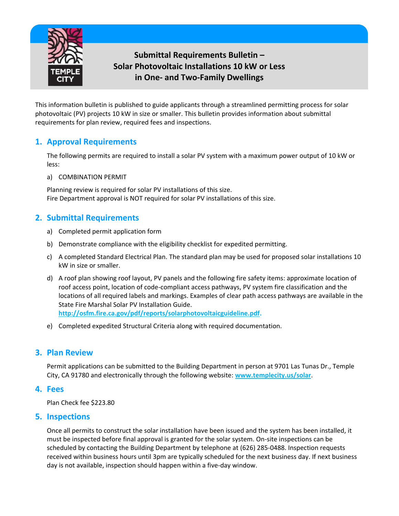

# **Submittal Requirements Bulletin – Solar Photovoltaic Installations 10 kW or Less in One- and Two-Family Dwellings**

This information bulletin is published to guide applicants through a streamlined permitting process for solar photovoltaic (PV) projects 10 kW in size or smaller. This bulletin provides information about submittal requirements for plan review, required fees and inspections.

## **1. Approval Requirements**

The following permits are required to install a solar PV system with a maximum power output of 10 kW or less:

a) COMBINATION PERMIT

Planning review is required for solar PV installations of this size. Fire Department approval is NOT required for solar PV installations of this size.

## **2. Submittal Requirements**

- a) Completed permit application form
- b) Demonstrate compliance with the eligibility checklist for expedited permitting.
- c) A completed Standard Electrical Plan. The standard plan may be used for proposed solar installations 10 kW in size or smaller.
- d) A roof plan showing roof layout, PV panels and the following fire safety items: approximate location of roof access point, location of code-compliant access pathways, PV system fire classification and the locations of all required labels and markings. Examples of clear path access pathways are available in the State Fire Marshal Solar PV Installation Guide. **[http://osfm.fire.ca.gov/pdf/reports/solarphotovoltaicguideline.pdf.](http://osfm.fire.ca.gov/pdf/reports/solarphotovoltaicguideline.pdf)**
- e) Completed expedited Structural Criteria along with required documentation.

### **3. Plan Review**

Permit applications can be submitted to the Building Department in person at 9701 Las Tunas Dr., Temple City, CA 91780 and electronically through the following website: **[www.templecity.us/solar](http://www.templecity.us/solar)**.

#### **4. Fees**

Plan Check fee \$223.80

### **5. Inspections**

Once all permits to construct the solar installation have been issued and the system has been installed, it must be inspected before final approval is granted for the solar system. On-site inspections can be scheduled by contacting the Building Department by telephone at (626) 285-0488. Inspection requests received within business hours until 3pm are typically scheduled for the next business day. If next business day is not available, inspection should happen within a five-day window.